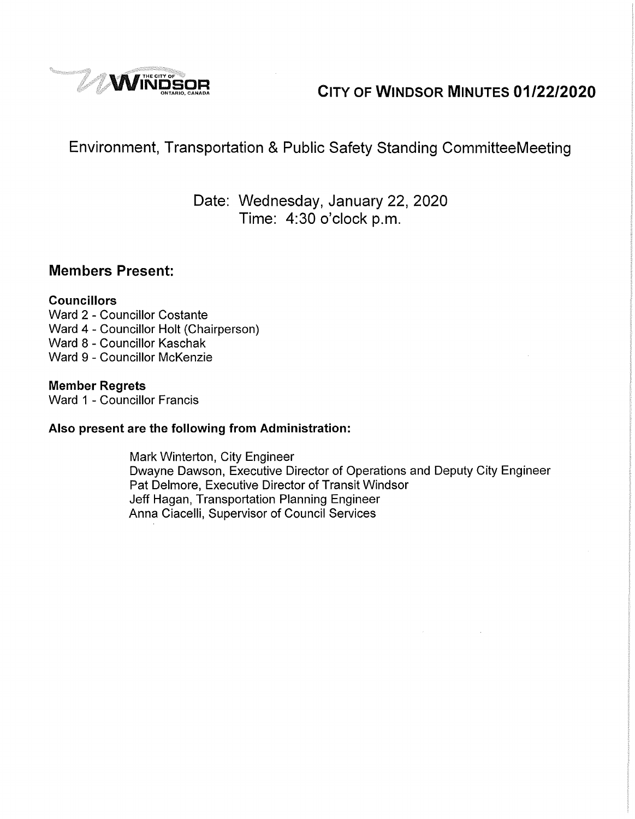

# **W{NDSOR** ONTARIO, CANADA **CITY OF WINDSOR MINUTES 01/22/2020**

# Environment, Transportation & Public Safety Standing CommitteeMeeting

# Date: Wednesday, January 22, 2020 Time: 4:30 o'clock p.m.

### **Members Present:**

### **Councillors**

Ward 2 - Councillor Costante Ward 4 - Councillor Holt (Chairperson) Ward 8 - Councillor Kaschak Ward 9 - Councillor McKenzie

### **Member Regrets**

Ward 1 - Councillor Francis

### **Also present are the following from Administration:**

Mark Winterton, City Engineer Dwayne Dawson, Executive Director of Operations and Deputy City Engineer Pat Delmore, Executive Director of Transit Windsor Jeff Hagan, Transportation Planning Engineer Anna Ciacelli, Supervisor of Council Services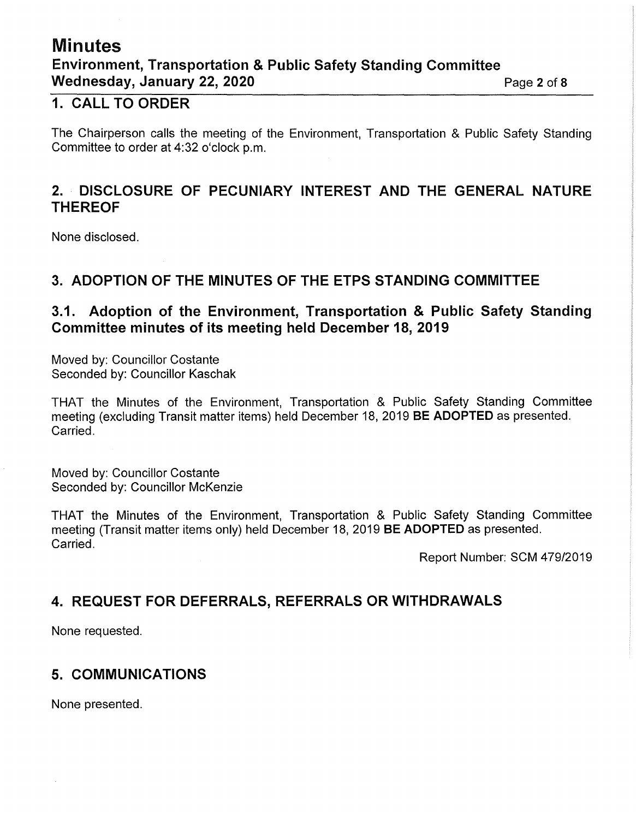# **Minutes Environment, Transportation** & **Public Safety Standing Committee Wednesday, January 22, 2020** Page **2** of **8**

### **1. CALL TO ORDER**

The Chairperson calls the meeting of the Environment, Transportation & Public Safety Standing Committee to order at 4:32 o'clock p.m.

### **2. DISCLOSURE OF PECUNIARY INTEREST AND THE GENERAL NATURE THEREOF**

None disclosed.

# **3. ADOPTION OF THE MINUTES OF THE ETPS STANDING COMMITTEE**

### **3.1. Adoption of the Environment, Transportation** & **Public Safety Standing Committee minutes of its meeting held December 18, 2019**

Moved by: Councillor Costante Seconded by: Councillor Kaschak

THAT the Minutes of the Environment, Transportation & Public Safety Standing Committee meeting (excluding Transit matter items) held December 18, 2019 **BE ADOPTED** as presented. Carried.

Moved by: Councillor Costante Seconded by: Councillor McKenzie

THAT the Minutes of the Environment, Transportation & Public Safety Standing Committee meeting (Transit matter items only) held December 18, 2019 **BE ADOPTED** as presented. Carried.

Report Number: SCM 479/2019

### **4. REQUEST FOR DEFERRALS, REFERRALS OR WITHDRAWALS**

None requested.

### **5. COMMUNICATIONS**

None presented.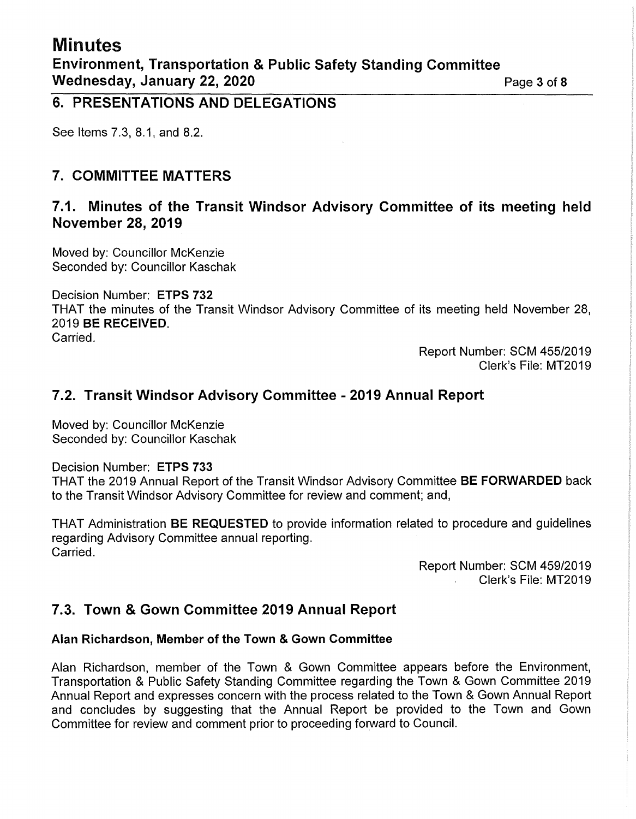### **6. PRESENTATIONS AND DELEGATIONS**

See Items 7.3, 8.1, and 8.2.

### **7. COMMITTEE MATTERS**

### **7.1. Minutes of the Transit Windsor Advisory Committee of its meeting held November 28, 2019**

Moved by: Councillor McKenzie Seconded by: Councillor Kaschak

Decision Number: **ETPS 732**  THAT the minutes of the Transit Windsor Advisory Committee of its meeting held November 28, 2019 **BE RECEIVED.**  Carried.

> Report Number: SCM 455/2019 Clerk's File: MT2019

### **7.2. Transit Windsor Advisory Committee - 2019 Annual Report**

Moved by: Councillor McKenzie Seconded by: Councillor Kaschak

Decision Number: **ETPS 733** 

THAT the 2019 Annual Report of the Transit Windsor Advisory Committee **BE FORWARDED** back to the Transit Windsor Advisory Committee for review and comment; and,

THAT Administration **BE REQUESTED** to provide information related to procedure and guidelines regarding Advisory Committee annual reporting. Carried.

> Report Number: SCM 459/2019 Clerk's File: MT2019

### **7.3. Town & Gown Committee 2019 Annual Report**

### **Alan Richardson, Member of the Town & Gown Committee**

Alan Richardson, member of the Town & Gown Committee appears before the Environment, Transportation & Public Safety Standing Committee regarding the Town & Gown Committee 2019 Annual Report and expresses concern with the process related to the Town & Gown Annual Report and concludes by suggesting that the Annual Report be provided to the Town and Gown Committee for review and comment prior to proceeding forward to Council.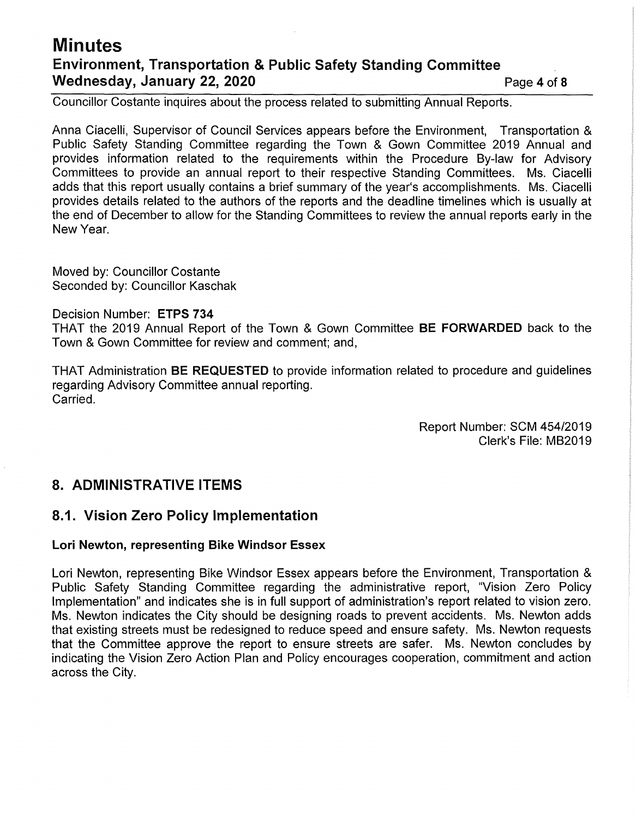# **Minutes Environment, Transportation & Public Safety Standing Committee Wednesday, January 22, 2020 Page 4 of 8 Page 4 of 8**

Councillor Costante inquires about the process related to submitting Annual Reports.

Anna Ciacelli, Supervisor of Council Services appears before the Environment, Transportation & Public Safety Standing Committee regarding the Town & Gown Committee 2019 Annual and provides information related to the requirements within the Procedure By-law for Advisory Committees to provide an annual report to their respective Standing Committees. Ms. Ciacelli adds that this report usually contains a brief summary of the year's accomplishments. Ms. Ciacelli provides details related to the authors of the reports and the deadline timelines which is usually at the end of December to allow for the Standing Committees to review the annual reports early in the New Year.

Moved by: Councillor Costante Seconded by: Councillor Kaschak

#### Decision Number: **ETPS 734**

THAT the 2019 Annual Report of the Town & Gown Committee **BE FORWARDED** back to the Town & Gown Committee for review and comment; and,

THAT Administration **BE REQUESTED** to provide information related to procedure and guidelines regarding Advisory Committee annual reporting. Carried.

> Report Number: SCM 454/2019 Clerk's File: MB2019

### **8. ADMINISTRATIVE ITEMS**

### **8.1. Vision Zero Policy Implementation**

### **Lori Newton, representing Bike Windsor Essex**

Lori Newton, representing Bike Windsor Essex appears before the Environment, Transportation & Public Safety Standing Committee regarding the administrative report, "Vision Zero Policy Implementation" and indicates she is in full support of administration's report related to vision zero. Ms. Newton indicates the City should be designing roads to prevent accidents. Ms. Newton adds that existing streets must be redesigned to reduce speed and ensure safety. Ms. Newton requests that the Committee approve the report to ensure streets are safer. Ms. Newton concludes by indicating the Vision Zero Action Plan and Policy encourages cooperation, commitment and action across the City.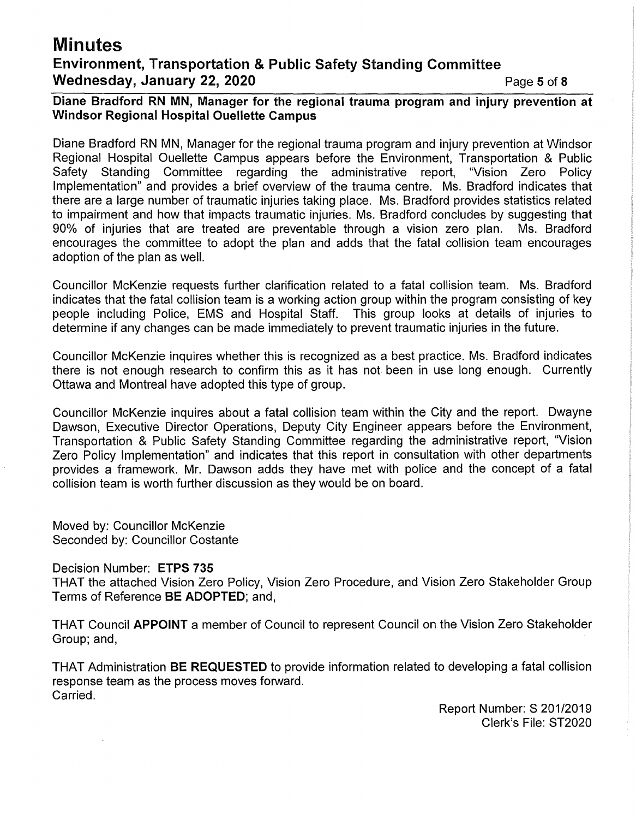# **Minutes**

### **Environment, Transportation & Public Safety Standing Committee Wednesday, January 22, 2020** Page **5 of 8**

### **Diane Bradford RN MN, Manager for the regional trauma program and injury prevention at Windsor Regional Hospital Ouellette Campus**

Diane Bradford RN MN, Manager for the regional trauma program and injury prevention at Windsor Regional Hospital Ouellette Campus appears before the Environment, Transportation & Public Safety Standing Committee regarding the administrative report, "Vision Zero Policy Implementation" and provides a brief overview of the trauma centre. Ms. Bradford indicates that there are a large number of traumatic injuries taking place. Ms. Bradford provides statistics related to impairment and how that impacts traumatic injuries. Ms. Bradford concludes by suggesting that 90% of injuries that are treated are preventable through a vision zero plan. Ms. Bradford encourages the committee to adopt the plan and adds that the fatal collision team encourages adoption of the plan as well.

Councillor McKenzie requests further clarification related to a fatal collision team. Ms. Bradford indicates that the fatal collision team is a working action group within the program consisting of key people including Police, EMS and Hospital Staff. This group looks at details of injuries to determine if any changes can be made immediately to prevent traumatic injuries in the future.

Councillor McKenzie inquires whether this is recognized as a best practice. Ms. Bradford indicates there is not enough research to confirm this as it has not been in use long enough. Currently Ottawa and Montreal have adopted this type of group.

Councillor McKenzie inquires about a fatal collision team within the City and the report. Dwayne Dawson, Executive Director Operations, Deputy City Engineer appears before the Environment, Transportation & Public Safety Standing Committee regarding the administrative report, "Vision Zero Policy Implementation" and indicates that this report in consultation with other departments provides a framework. Mr. Dawson adds they have met with police and the concept of a fatal collision team is worth further discussion as they would be on board.

Moved by: Councillor McKenzie Seconded by: Councillor Costante

Decision Number: **ETPS 735** 

THAT the attached Vision Zero Policy, Vision Zero Procedure, and Vision Zero Stakeholder Group Terms of Reference **BE ADOPTED;** and,

THAT Council **APPOINT** a member of Council to represent Council on the Vision Zero Stakeholder Group; and,

THAT Administration **BE REQUESTED** to provide information related to developing a fatal collision response team as the process moves forward. Carried.

> Report Number: S 201/2019 Clerk's File: ST2020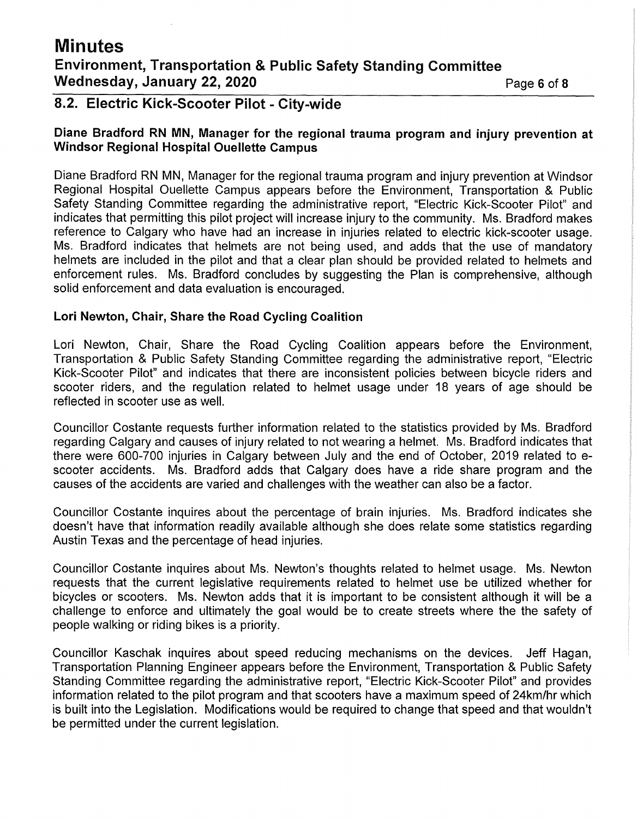# **Minutes**

**Environment, Transportation & Public Safety Standing Committee Wednesday, January 22, 2020 Page 6 of 8** 

### **8.2. Electric Kick-Scooter Pilot - City-wide**

### **Diane Bradford RN MN, Manager for the regional trauma program and injury prevention at Windsor Regional Hospital Ouellette Campus**

Diane Bradford RN MN, Manager for the regional trauma program and injury prevention at Windsor Regional Hospital Ouellette Campus appears before the Environment, Transportation & Public Safety Standing Committee regarding the administrative report, "Electric Kick-Scooter Pilot" and indicates that permitting this pilot project will increase injury to the community. Ms. Bradford makes reference to Calgary who have had an increase in injuries related to electric kick-scooter usage. Ms. Bradford indicates that helmets are not being used, and adds that the use of mandatory helmets are included in the pilot and that a clear plan should be provided related to helmets and enforcement rules. Ms. Bradford concludes by suggesting the Plan is comprehensive, although solid enforcement and data evaluation is encouraged.

### **Lori Newton, Chair, Share the Road Cycling Coalition**

Lori Newton, Chair, Share the Road Cycling Coalition appears before the Environment, Transportation & Public Safety Standing Committee regarding the administrative report, "Electric Kick-Scooter Pilot" and indicates that there are inconsistent policies between bicycle riders and scooter riders, and the regulation related to helmet usage under 18 years of age should be reflected in scooter use as well.

Councillor Costante requests further information related to the statistics provided by Ms. Bradford regarding Calgary and causes of injury related to not wearing a helmet. Ms. Bradford indicates that there were 600-700 injuries in Calgary between July and the end of October, 2019 related to escooter accidents. Ms. Bradford adds that Calgary does have a ride share program and the causes of the accidents are varied and challenges with the weather can also be a factor.

Councillor Costante inquires about the percentage of brain injuries. Ms. Bradford indicates she doesn't have that information readily available although she does relate some statistics regarding Austin Texas and the percentage of head injuries.

Councillor Costante inquires about Ms. Newton's thoughts related to helmet usage. Ms. Newton requests that the current legislative requirements related to helmet use be utilized whether for bicycles or scooters. Ms. Newton adds that it is important to be consistent although it will be a challenge to enforce and ultimately the goal would be to create streets where the the safety of people walking or riding bikes is a priority.

Councillor Kaschak inquires about speed reducing mechanisms on the devices. Jeff Hagan, Transportation Planning Engineer appears before the Environment, Transportation & Public Safety Standing Committee regarding the administrative report, "Electric Kick-Scooter Pilot" and provides information related to the pilot program and that scooters have a maximum speed of 24km/hr which is built into the Legislation. Modifications would be required to change that speed and that wouldn't be permitted under the current legislation.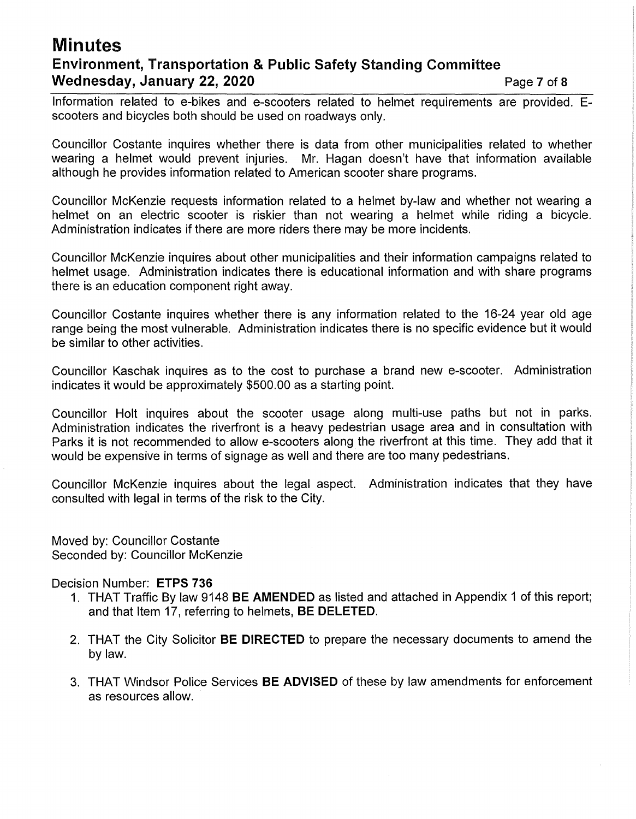# **Minutes Environment, Transportation & Public Safety Standing Committee Wednesday, January 22, 2020 Page 7 of 8**

Information related to e-bikes and e-scooters related to helmet requirements are provided. Escooters and bicycles both should be used on roadways only.

Councillor Costante inquires whether there is data from other municipalities related to whether wearing a helmet would prevent injuries. Mr. Hagan doesn't have that information available although he provides information related to American scooter share programs.

Councillor McKenzie requests information related to a helmet by-law and whether not wearing a helmet on an electric scooter is riskier than not wearing a helmet while riding a bicycle. Administration indicates if there are more riders there may be more incidents.

Councillor McKenzie inquires about other municipalities and their information campaigns related to helmet usage. Administration indicates there is educational information and with share programs there is an education component right away.

Councillor Costante inquires whether there is any information related to the 16-24 year old age range being the most vulnerable. Administration indicates there is no specific evidence but it would be similar to other activities.

Councillor Kaschak inquires as to the cost to purchase a brand new e-scooter. Administration indicates it would be approximately \$500.00 as a starting point.

Councillor Holt inquires about the scooter usage along multi-use paths but not in parks. Administration indicates the riverfront is a heavy pedestrian usage area and in consultation with Parks it is not recommended to allow e-scooters along the riverfront at this time. They add that it would be expensive in terms of signage as well and there are too many pedestrians.

Councillor McKenzie inquires about the legal aspect. Administration indicates that they have consulted with legal in terms of the risk to the City.

Moved by: Councillor Costante Seconded by: Councillor McKenzie

Decision Number: **ETPS 736** 

- 1. THAT Traffic By law 9148 **BE AMENDED** as listed and attached in Appendix 1 of this report; and that Item 17, referring to helmets, **BE DELETED.**
- 2. THAT the City Solicitor **BE DIRECTED** to prepare the necessary documents to amend the by law.
- 3. THAT Windsor Police Services **BE ADVISED** of these by law amendments for enforcement as resources allow.